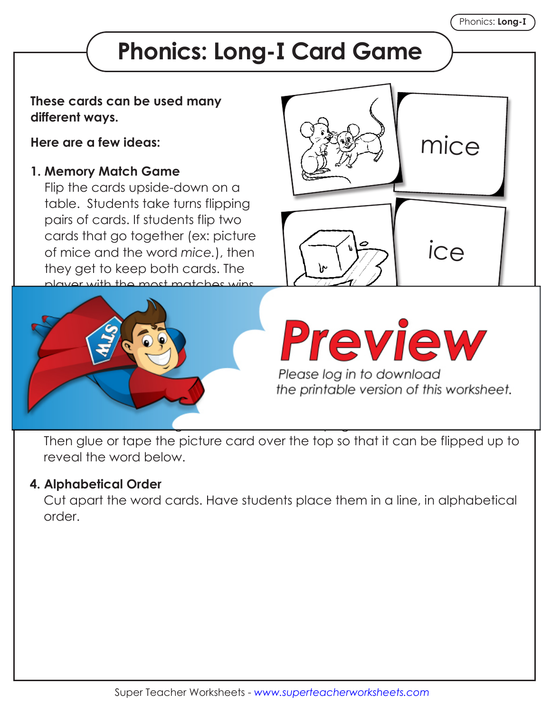## **Phonics: Long-I Card Game**

## **These cards can be used many different ways.**

**Here are a few ideas:**

## **1. Memory Match Game**

Flip the cards upside-down on a table. Students take turns flipping pairs of cards. If students flip two cards that go together (ex: picture of mice and the word *mice.*), then they get to keep both cards. The player with the most matches wins.





the printable version of this worksheet.

Then glue or tape the picture card over the top so that it can be flipped up to reveal the word below.

## **4. Alphabetical Order**

 Cut apart the word cards. Have students place them in a line, in alphabetical order.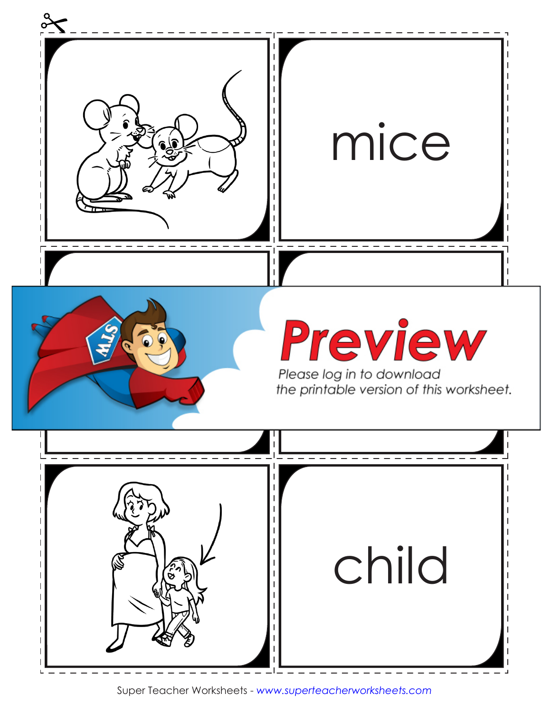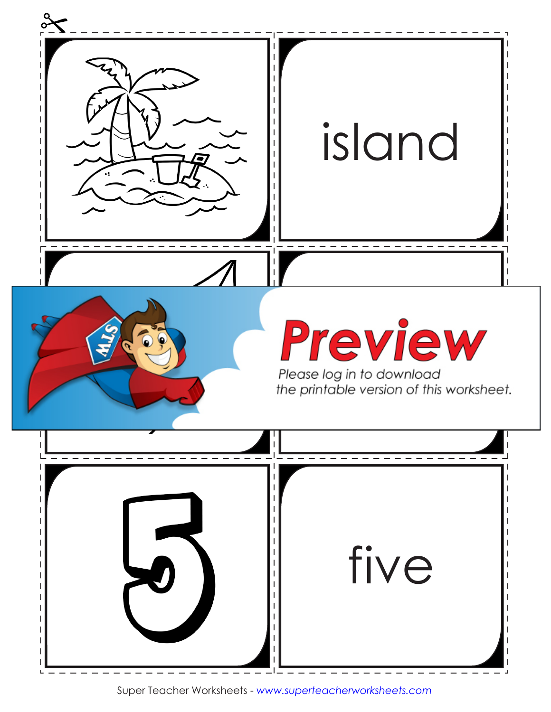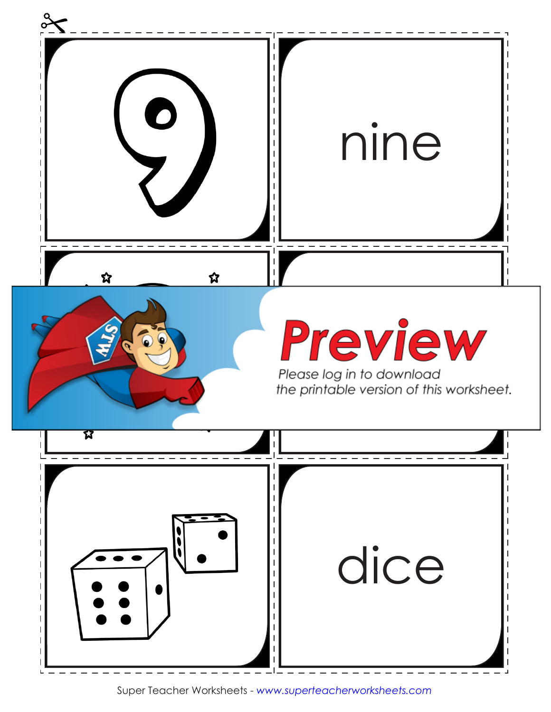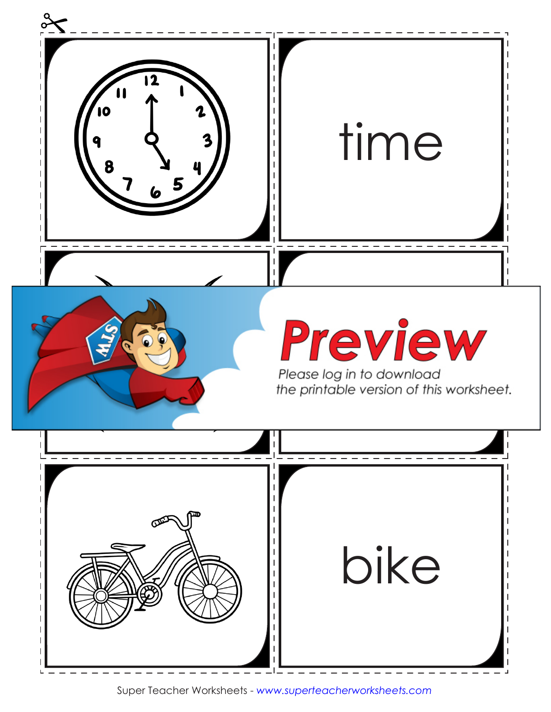

Super Teacher Worksheets - *www.superteacherworksheets.com*